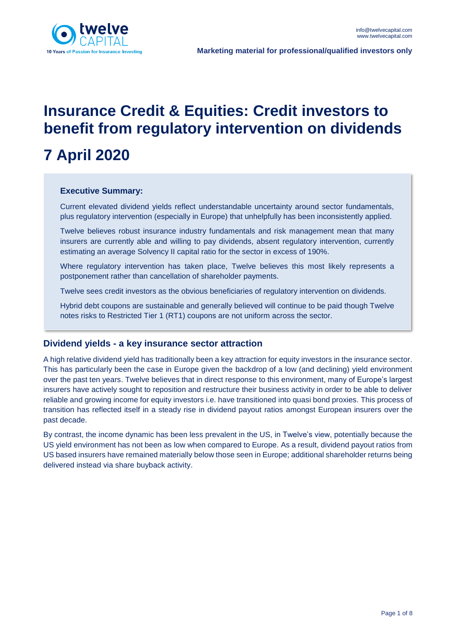

**Marketing material for professional/qualified investors only**

# **Insurance Credit & Equities: Credit investors to benefit from regulatory intervention on dividends**

# **7 April 2020**

## **Executive Summary:**

Current elevated dividend yields reflect understandable uncertainty around sector fundamentals, plus regulatory intervention (especially in Europe) that unhelpfully has been inconsistently applied.

Twelve believes robust insurance industry fundamentals and risk management mean that many insurers are currently able and willing to pay dividends, absent regulatory intervention, currently estimating an average Solvency II capital ratio for the sector in excess of 190%.

Where regulatory intervention has taken place, Twelve believes this most likely represents a postponement rather than cancellation of shareholder payments.

Twelve sees credit investors as the obvious beneficiaries of regulatory intervention on dividends.

Hybrid debt coupons are sustainable and generally believed will continue to be paid though Twelve notes risks to Restricted Tier 1 (RT1) coupons are not uniform across the sector.

## **Dividend yields - a key insurance sector attraction**

A high relative dividend yield has traditionally been a key attraction for equity investors in the insurance sector. This has particularly been the case in Europe given the backdrop of a low (and declining) yield environment over the past ten years. Twelve believes that in direct response to this environment, many of Europe's largest insurers have actively sought to reposition and restructure their business activity in order to be able to deliver reliable and growing income for equity investors i.e. have transitioned into quasi bond proxies. This process of transition has reflected itself in a steady rise in dividend payout ratios amongst European insurers over the past decade.

By contrast, the income dynamic has been less prevalent in the US, in Twelve's view, potentially because the US yield environment has not been as low when compared to Europe. As a result, dividend payout ratios from US based insurers have remained materially below those seen in Europe; additional shareholder returns being delivered instead via share buyback activity.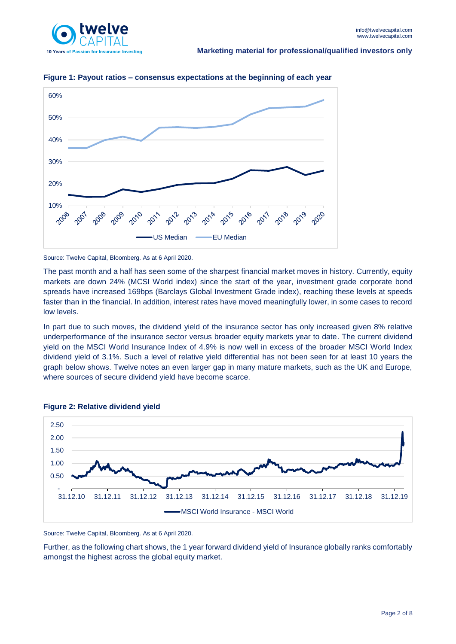



**Figure 1: Payout ratios – consensus expectations at the beginning of each year**

Source: Twelve Capital, Bloomberg. As at 6 April 2020.

The past month and a half has seen some of the sharpest financial market moves in history. Currently, equity markets are down 24% (MCSI World index) since the start of the year, investment grade corporate bond spreads have increased 169bps (Barclays Global Investment Grade index), reaching these levels at speeds faster than in the financial. In addition, interest rates have moved meaningfully lower, in some cases to record low levels.

In part due to such moves, the dividend yield of the insurance sector has only increased given 8% relative underperformance of the insurance sector versus broader equity markets year to date. The current dividend yield on the MSCI World Insurance Index of 4.9% is now well in excess of the broader MSCI World Index dividend yield of 3.1%. Such a level of relative yield differential has not been seen for at least 10 years the graph below shows. Twelve notes an even larger gap in many mature markets, such as the UK and Europe, where sources of secure dividend yield have become scarce.



#### **Figure 2: Relative dividend yield**

Source: Twelve Capital, Bloomberg. As at 6 April 2020.

Further, as the following chart shows, the 1 year forward dividend yield of Insurance globally ranks comfortably amongst the highest across the global equity market.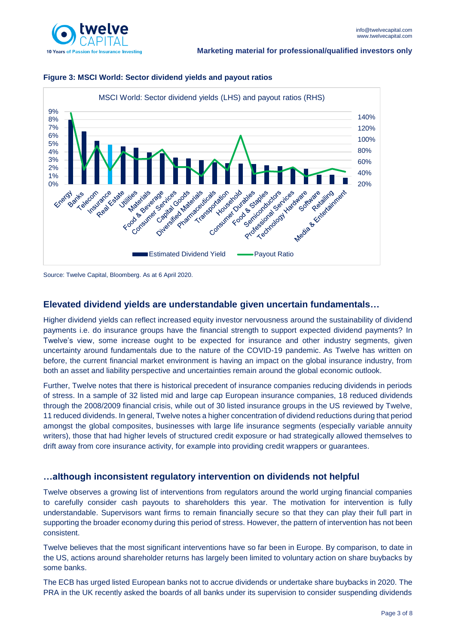



### **Figure 3: MSCI World: Sector dividend yields and payout ratios**

# **Elevated dividend yields are understandable given uncertain fundamentals…**

Higher dividend yields can reflect increased equity investor nervousness around the sustainability of dividend payments i.e. do insurance groups have the financial strength to support expected dividend payments? In Twelve's view, some increase ought to be expected for insurance and other industry segments, given uncertainty around fundamentals due to the nature of the COVID-19 pandemic. As Twelve has written on before, the current financial market environment is having an impact on the global insurance industry, from both an asset and liability perspective and uncertainties remain around the global economic outlook.

Further, Twelve notes that there is historical precedent of insurance companies reducing dividends in periods of stress. In a sample of 32 listed mid and large cap European insurance companies, 18 reduced dividends through the 2008/2009 financial crisis, while out of 30 listed insurance groups in the US reviewed by Twelve, 11 reduced dividends. In general, Twelve notes a higher concentration of dividend reductions during that period amongst the global composites, businesses with large life insurance segments (especially variable annuity writers), those that had higher levels of structured credit exposure or had strategically allowed themselves to drift away from core insurance activity, for example into providing credit wrappers or guarantees.

# **…although inconsistent regulatory intervention on dividends not helpful**

Twelve observes a growing list of interventions from regulators around the world urging financial companies to carefully consider cash payouts to shareholders this year. The motivation for intervention is fully understandable. Supervisors want firms to remain financially secure so that they can play their full part in supporting the broader economy during this period of stress. However, the pattern of intervention has not been consistent.

Twelve believes that the most significant interventions have so far been in Europe. By comparison, to date in the US, actions around shareholder returns has largely been limited to voluntary action on share buybacks by some banks.

The ECB has urged listed European banks not to accrue dividends or undertake share buybacks in 2020. The PRA in the UK recently asked the boards of all banks under its supervision to consider suspending dividends

Source: Twelve Capital, Bloomberg. As at 6 April 2020.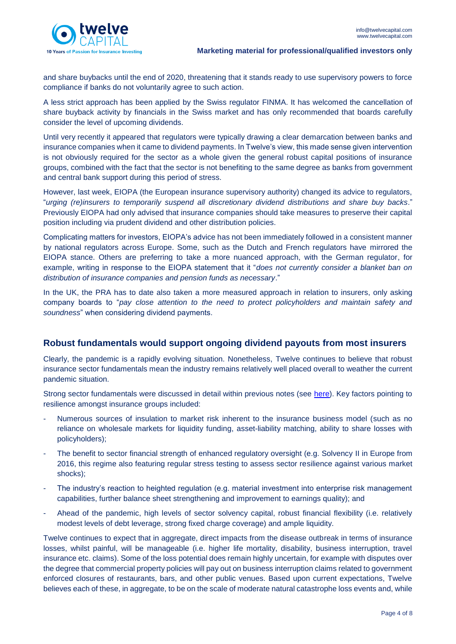

and share buybacks until the end of 2020, threatening that it stands ready to use supervisory powers to force compliance if banks do not voluntarily agree to such action.

A less strict approach has been applied by the Swiss regulator FINMA. It has welcomed the cancellation of share buyback activity by financials in the Swiss market and has only recommended that boards carefully consider the level of upcoming dividends.

Until very recently it appeared that regulators were typically drawing a clear demarcation between banks and insurance companies when it came to dividend payments. In Twelve's view, this made sense given intervention is not obviously required for the sector as a whole given the general robust capital positions of insurance groups, combined with the fact that the sector is not benefiting to the same degree as banks from government and central bank support during this period of stress.

However, last week, EIOPA (the European insurance supervisory authority) changed its advice to regulators, "*urging (re)insurers to temporarily suspend all discretionary dividend distributions and share buy backs*." Previously EIOPA had only advised that insurance companies should take measures to preserve their capital position including via prudent dividend and other distribution policies.

Complicating matters for investors, EIOPA's advice has not been immediately followed in a consistent manner by national regulators across Europe. Some, such as the Dutch and French regulators have mirrored the EIOPA stance. Others are preferring to take a more nuanced approach, with the German regulator, for example, writing in response to the EIOPA statement that it "*does not currently consider a blanket ban on distribution of insurance companies and pension funds as necessary*."

In the UK, the PRA has to date also taken a more measured approach in relation to insurers, only asking company boards to "*pay close attention to the need to protect policyholders and maintain safety and soundness*" when considering dividend payments.

## **Robust fundamentals would support ongoing dividend payouts from most insurers**

Clearly, the pandemic is a rapidly evolving situation. Nonetheless, Twelve continues to believe that robust insurance sector fundamentals mean the industry remains relatively well placed overall to weather the current pandemic situation.

Strong sector fundamentals were discussed in detail within previous notes (see [here\)](https://www.twelvecapital.com/dam/jcr:b1fdf81b-bf68-4d37-b91d-2ce467e9dd7b/Twelve_Capital_COVID_Update_20200317.pdf). Key factors pointing to resilience amongst insurance groups included:

- Numerous sources of insulation to market risk inherent to the insurance business model (such as no reliance on wholesale markets for liquidity funding, asset-liability matching, ability to share losses with policyholders);
- The benefit to sector financial strength of enhanced regulatory oversight (e.g. Solvency II in Europe from 2016, this regime also featuring regular stress testing to assess sector resilience against various market shocks);
- The industry's reaction to heighted regulation (e.g. material investment into enterprise risk management capabilities, further balance sheet strengthening and improvement to earnings quality); and
- Ahead of the pandemic, high levels of sector solvency capital, robust financial flexibility (i.e. relatively modest levels of debt leverage, strong fixed charge coverage) and ample liquidity.

Twelve continues to expect that in aggregate, direct impacts from the disease outbreak in terms of insurance losses, whilst painful, will be manageable (i.e. higher life mortality, disability, business interruption, travel insurance etc. claims). Some of the loss potential does remain highly uncertain, for example with disputes over the degree that commercial property policies will pay out on business interruption claims related to government enforced closures of restaurants, bars, and other public venues. Based upon current expectations, Twelve believes each of these, in aggregate, to be on the scale of moderate natural catastrophe loss events and, while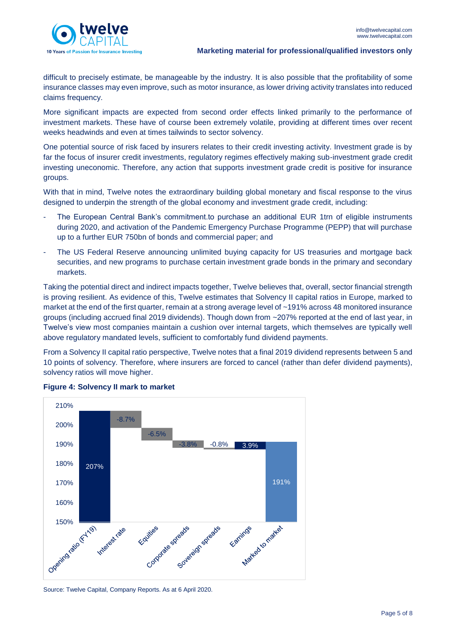

difficult to precisely estimate, be manageable by the industry. It is also possible that the profitability of some insurance classes may even improve, such as motor insurance, as lower driving activity translates into reduced claims frequency.

More significant impacts are expected from second order effects linked primarily to the performance of investment markets. These have of course been extremely volatile, providing at different times over recent weeks headwinds and even at times tailwinds to sector solvency.

One potential source of risk faced by insurers relates to their credit investing activity. Investment grade is by far the focus of insurer credit investments, regulatory regimes effectively making sub-investment grade credit investing uneconomic. Therefore, any action that supports investment grade credit is positive for insurance groups.

With that in mind, Twelve notes the extraordinary building global monetary and fiscal response to the virus designed to underpin the strength of the global economy and investment grade credit, including:

- The European Central Bank's commitment.to purchase an additional EUR 1trn of eligible instruments during 2020, and activation of the Pandemic Emergency Purchase Programme (PEPP) that will purchase up to a further EUR 750bn of bonds and commercial paper; and
- The US Federal Reserve announcing unlimited buying capacity for US treasuries and mortgage back securities, and new programs to purchase certain investment grade bonds in the primary and secondary markets.

Taking the potential direct and indirect impacts together, Twelve believes that, overall, sector financial strength is proving resilient. As evidence of this, Twelve estimates that Solvency II capital ratios in Europe, marked to market at the end of the first quarter, remain at a strong average level of ~191% across 48 monitored insurance groups (including accrued final 2019 dividends). Though down from ~207% reported at the end of last year, in Twelve's view most companies maintain a cushion over internal targets, which themselves are typically well above regulatory mandated levels, sufficient to comfortably fund dividend payments.

From a Solvency II capital ratio perspective, Twelve notes that a final 2019 dividend represents between 5 and 10 points of solvency. Therefore, where insurers are forced to cancel (rather than defer dividend payments), solvency ratios will move higher.



**Figure 4: Solvency II mark to market**

Source: Twelve Capital, Company Reports. As at 6 April 2020.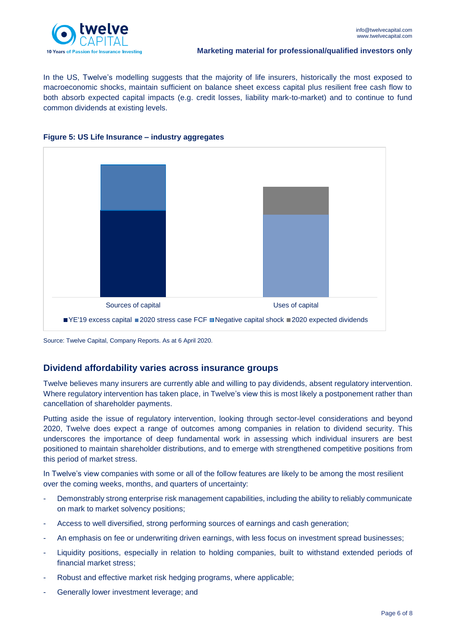

#### **Marketing material for professional/qualified investors only**

In the US, Twelve's modelling suggests that the majority of life insurers, historically the most exposed to macroeconomic shocks, maintain sufficient on balance sheet excess capital plus resilient free cash flow to both absorb expected capital impacts (e.g. credit losses, liability mark-to-market) and to continue to fund common dividends at existing levels.





Source: Twelve Capital, Company Reports. As at 6 April 2020.

# **Dividend affordability varies across insurance groups**

Twelve believes many insurers are currently able and willing to pay dividends, absent regulatory intervention. Where regulatory intervention has taken place, in Twelve's view this is most likely a postponement rather than cancellation of shareholder payments.

Putting aside the issue of regulatory intervention, looking through sector-level considerations and beyond 2020, Twelve does expect a range of outcomes among companies in relation to dividend security. This underscores the importance of deep fundamental work in assessing which individual insurers are best positioned to maintain shareholder distributions, and to emerge with strengthened competitive positions from this period of market stress.

In Twelve's view companies with some or all of the follow features are likely to be among the most resilient over the coming weeks, months, and quarters of uncertainty:

- Demonstrably strong enterprise risk management capabilities, including the ability to reliably communicate on mark to market solvency positions;
- Access to well diversified, strong performing sources of earnings and cash generation;
- An emphasis on fee or underwriting driven earnings, with less focus on investment spread businesses;
- Liquidity positions, especially in relation to holding companies, built to withstand extended periods of financial market stress;
- Robust and effective market risk hedging programs, where applicable;
- Generally lower investment leverage; and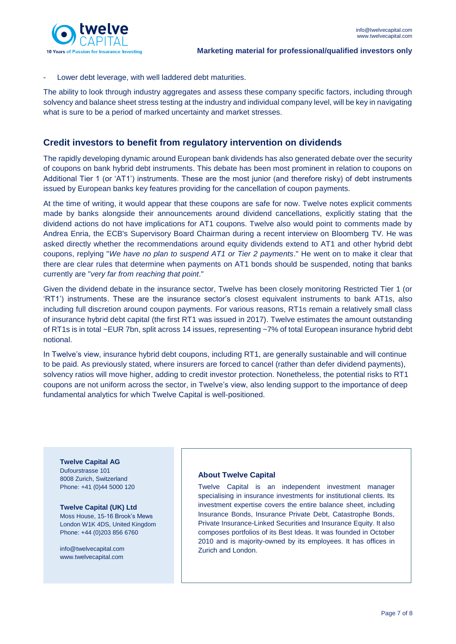

Lower debt leverage, with well laddered debt maturities.

The ability to look through industry aggregates and assess these company specific factors, including through solvency and balance sheet stress testing at the industry and individual company level, will be key in navigating what is sure to be a period of marked uncertainty and market stresses.

## **Credit investors to benefit from regulatory intervention on dividends**

The rapidly developing dynamic around European bank dividends has also generated debate over the security of coupons on bank hybrid debt instruments. This debate has been most prominent in relation to coupons on Additional Tier 1 (or 'AT1') instruments. These are the most junior (and therefore risky) of debt instruments issued by European banks key features providing for the cancellation of coupon payments.

At the time of writing, it would appear that these coupons are safe for now. Twelve notes explicit comments made by banks alongside their announcements around dividend cancellations, explicitly stating that the dividend actions do not have implications for AT1 coupons. Twelve also would point to comments made by Andrea Enria, the ECB's Supervisory Board Chairman during a recent interview on Bloomberg TV. He was asked directly whether the recommendations around equity dividends extend to AT1 and other hybrid debt coupons, replying "*We have no plan to suspend AT1 or Tier 2 payments*." He went on to make it clear that there are clear rules that determine when payments on AT1 bonds should be suspended, noting that banks currently are "*very far from reaching that point*."

Given the dividend debate in the insurance sector, Twelve has been closely monitoring Restricted Tier 1 (or 'RT1') instruments. These are the insurance sector's closest equivalent instruments to bank AT1s, also including full discretion around coupon payments. For various reasons, RT1s remain a relatively small class of insurance hybrid debt capital (the first RT1 was issued in 2017). Twelve estimates the amount outstanding of RT1s is in total ~EUR 7bn, split across 14 issues, representing ~7% of total European insurance hybrid debt notional.

In Twelve's view, insurance hybrid debt coupons, including RT1, are generally sustainable and will continue to be paid. As previously stated, where insurers are forced to cancel (rather than defer dividend payments), solvency ratios will move higher, adding to credit investor protection. Nonetheless, the potential risks to RT1 coupons are not uniform across the sector, in Twelve's view, also lending support to the importance of deep fundamental analytics for which Twelve Capital is well-positioned.

**Twelve Capital AG** Dufourstrasse 101 8008 Zurich, Switzerland Phone: +41 (0)44 5000 120

**Twelve Capital (UK) Ltd** Moss House, 15-16 Brook's Mews London W1K 4DS, United Kingdom Phone: +44 (0)203 856 6760

[info@twelvecapital.com](mailto:info@twelvecapital.com) [www.twelvecapital.com](http://www.twelvecapital.com/)

#### **About Twelve Capital**

Twelve Capital is an independent investment manager specialising in insurance investments for institutional clients. Its investment expertise covers the entire balance sheet, including Insurance Bonds, Insurance Private Debt, Catastrophe Bonds, Private Insurance-Linked Securities and Insurance Equity. It also composes portfolios of its Best Ideas. It was founded in October 2010 and is majority-owned by its employees. It has offices in Zurich and London.